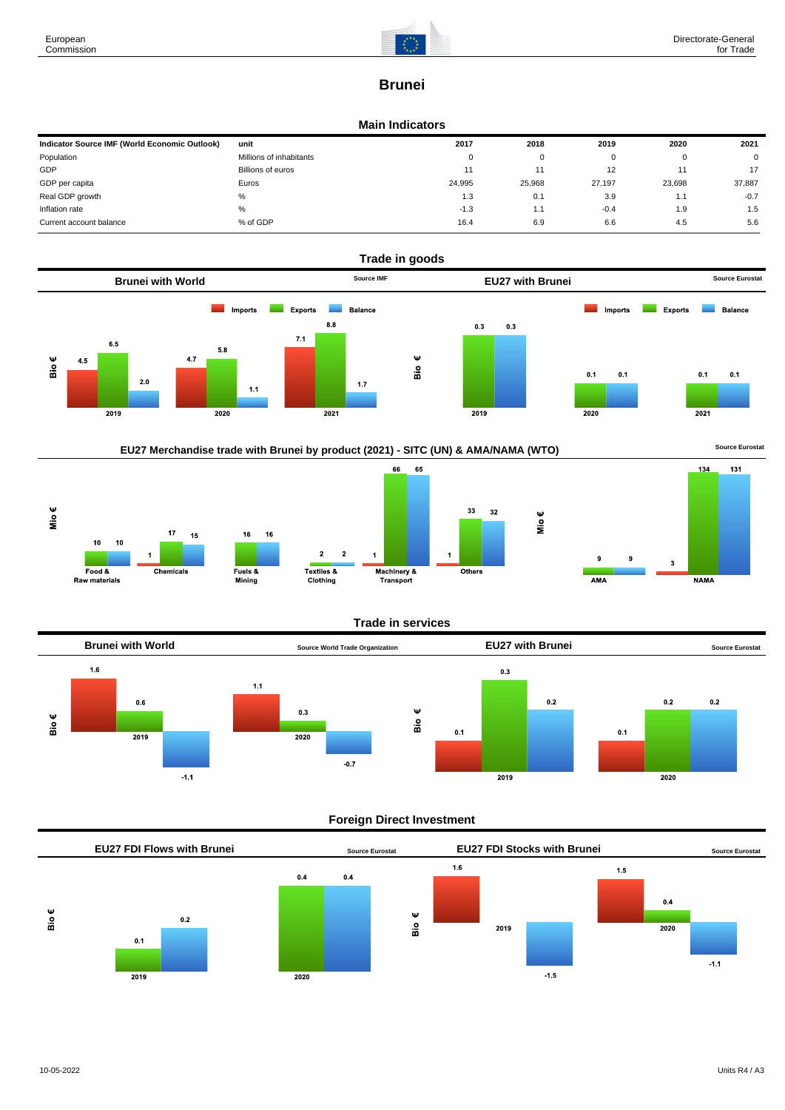

# **Brunei**

#### **Main Indicators**

| Indicator Source IMF (World Economic Outlook) | unit                    | 2017   | 2018   | 2019   | 2020   | 2021   |
|-----------------------------------------------|-------------------------|--------|--------|--------|--------|--------|
| Population                                    | Millions of inhabitants | 0      | 0      |        | O      | 0      |
| GDP                                           | Billions of euros       | 11     |        | 12     | 11     | 17     |
| GDP per capita                                | Euros                   | 24,995 | 25,968 | 27.197 | 23,698 | 37,887 |
| Real GDP growth                               | %                       | 1.3    | 0.1    | 3.9    | 1.1    | $-0.7$ |
| Inflation rate                                | %                       | $-1.3$ | 1.1    | $-0.4$ | 1.9    | 1.5    |
| Current account balance                       | % of GDP                | 16.4   | 6.9    | 6.6    | 4.5    | 5.6    |







### **Trade in services**



### **Foreign Direct Investment**